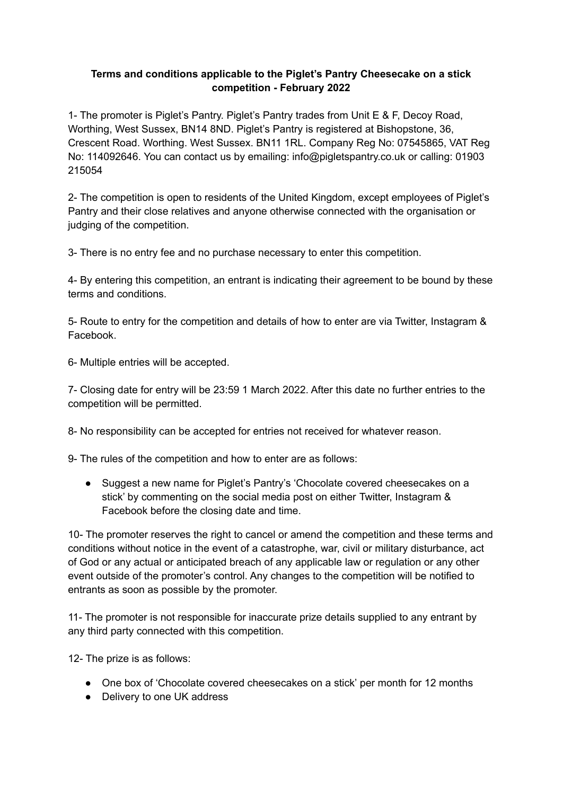## **Terms and conditions applicable to the Piglet's Pantry Cheesecake on a stick competition - February 2022**

1- The promoter is Piglet's Pantry. Piglet's Pantry trades from Unit E & F, Decoy Road, Worthing, West Sussex, BN14 8ND. Piglet's Pantry is registered at Bishopstone, 36, Crescent Road. Worthing. West Sussex. BN11 1RL. Company Reg No: [07545865,](https://companycheck.co.uk/company/07545865/PIGLETS-PANTRY-LIMITED/companies-house-data) VAT Reg No: 114092646. You can contact us by emailing: info@pigletspantry.co.uk or calling: 01903 215054

2- The competition is open to residents of the United Kingdom, except employees of Piglet's Pantry and their close relatives and anyone otherwise connected with the organisation or judging of the competition.

3- There is no entry fee and no purchase necessary to enter this competition.

4- By entering this competition, an entrant is indicating their agreement to be bound by these terms and conditions.

5- Route to entry for the competition and details of how to enter are via Twitter, Instagram & Facebook.

6- Multiple entries will be accepted.

7- Closing date for entry will be 23:59 1 March 2022. After this date no further entries to the competition will be permitted.

8- No responsibility can be accepted for entries not received for whatever reason.

9- The rules of the competition and how to enter are as follows:

● Suggest a new name for Piglet's Pantry's 'Chocolate covered cheesecakes on a stick' by commenting on the social media post on either Twitter, Instagram & Facebook before the closing date and time.

10- The promoter reserves the right to cancel or amend the competition and these terms and conditions without notice in the event of a catastrophe, war, civil or military disturbance, act of God or any actual or anticipated breach of any applicable law or regulation or any other event outside of the promoter's control. Any changes to the competition will be notified to entrants as soon as possible by the promoter.

11- The promoter is not responsible for inaccurate prize details supplied to any entrant by any third party connected with this competition.

12- The prize is as follows:

- One box of 'Chocolate covered cheesecakes on a stick' per month for 12 months
- Delivery to one UK address